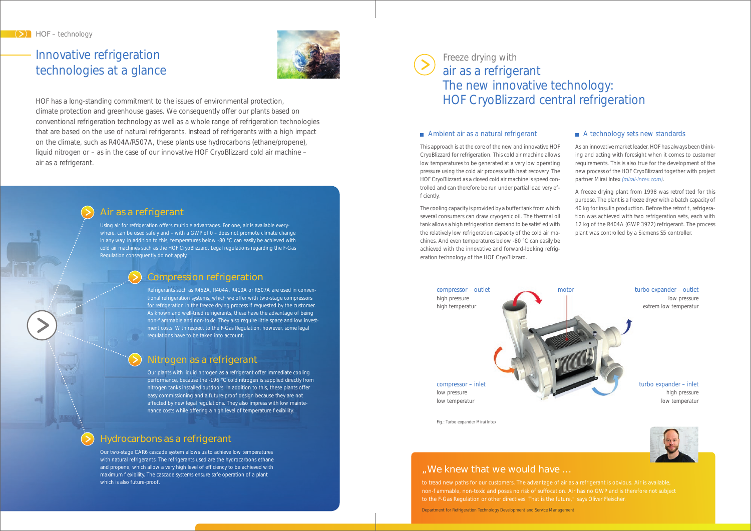## "We knew that we would have …

to tread new paths for our customers. The advantage of air as a refrigerant is obvious. Air is available, to the F-Gas Regulation or other directives. That is the future," says Oliver Fleischer. Department for Refrigeration Technology Development and Service Management

### A technology sets new standards

Our two-stage CAR6 cascade system allows us to achieve low temperatures with natural refrigerants. The refrigerants used are the hydrocarbons ethane and propene, which allow a very high level of ef ciency to be achieved with maximum exibility. The cascade systems ensure safe operation of a plant which is also future-proof.

Freeze drying with air as a refrigerant The new innovative technology: HOF CryoBlizzard central refrigeration

### Ambient air as a natural refrigerant

compressor – outlet high pressure high temperatur

Our plants with liquid nitrogen as a refrigerant offer immediate cooling performance, because the -196 °C cold nitrogen is supplied directly from nitrogen tanks installed outdoors. In addition to this, these plants offer easy commissioning and a future-proof design because they are not affected by new legal regulations. They also impress with low maintenance costs while offering a high level of temperature exibility.

compressor – inlet low pressure low temperatur

### turbo expander – outlet

low pressure extrem low temperatur

turbo expander – inlet high pressure low temperatur



Fig.: Turbo expander Mirai Intex

## Hydrocarbons as a refrigerant

## Nitrogen as a refrigerant

This approach is at the core of the new and innovative HOF CryoBlizzard for refrigeration. This cold air machine allows low temperatures to be generated at a very low operating pressure using the cold air process with heat recovery. The HOF CryoBlizzard as a closed cold air machine is speed controlled and can therefore be run under partial load very efciently.



Using air for refrigeration offers multiple advantages. For one, air is available everywhere, can be used safely and – with a GWP of 0 – does not promote climate change in any way. In addition to this, temperatures below -80 °C can easily be achieved with cold air machines such as the HOF CryoBlizzard. Legal regulations regarding the F-Gas Regulation consequently do not apply.

# Innovative refrigeration technologies at a glance



A freeze drying plant from 1998 was retro tted for this purpose. The plant is a freeze dryer with a batch capacity of 40 kg for insulin production. Before the retro t, refrigeration was achieved with two refrigeration sets, each with 12 kg of the R404A (GWP 3922) refrigerant. The process plant was controlled by a Siemens S5 controller.

moto



HOF has a long-standing commitment to the issues of environmental protection, climate protection and greenhouse gases. We consequently offer our plants based on conventional refrigeration technology as well as a whole range of refrigeration technologies that are based on the use of natural refrigerants. Instead of refrigerants with a high impact on the climate, such as R404A/R507A, these plants use hydrocarbons (ethane/propene), liquid nitrogen or – as in the case of our innovative HOF CryoBlizzard cold air machine – air as a refrigerant.

## Compression refrigeration

Refrigerants such as R452A, R404A, R410A or R507A are used in conventional refrigeration systems, which we offer with two-stage compressors for refrigeration in the freeze drying process if requested by the customer. As known and well-tried refrigerants, these have the advantage of being non- ammable and non-toxic. They also require little space and low investment costs. With respect to the F-Gas Regulation, however, some legal regulations have to be taken into account.

The cooling capacity is provided by a buffer tank from which several consumers can draw cryogenic oil. The thermal oil tank allows a high refrigeration demand to be satis ed with the relatively low refrigeration capacity of the cold air machines. And even temperatures below -80 °C can easily be achieved with the innovative and forward-looking refrigeration technology of the HOF CryoBlizzard.

As an innovative market leader, HOF has always been thinking and acting with foresight when it comes to customer requirements. This is also true for the development of the new process of the HOF CryoBlizzard together with project partner Mirai Intex *(mirai-intex.com)*.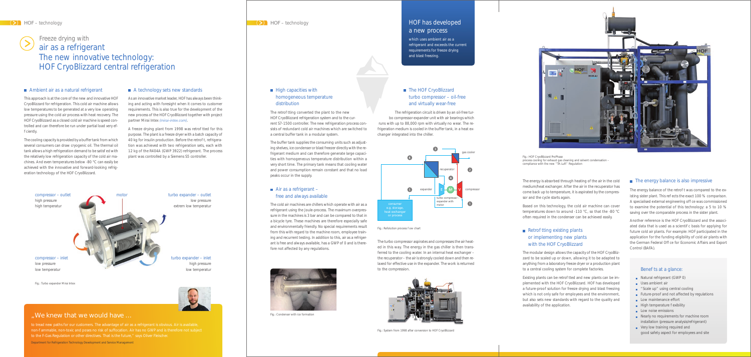

bo compressor-expander unit with air bearings which runs with up to 88,000 rpm with virtually no wear. The refrigeration medium is cooled in the buffer tank, in a heat exchanger integrated into the chiller.

■ The HOF CryoBlizzard

### $\blacksquare$  High capacities with homogeneous temperature distribution

The retro tting converted the plant to the new HOF CryoBlizzard refrigeration system and to the current S7-1500 controller. The new refrigeration process consists of redundant cold air machines which are switched to a central buffer tank in a modular system.

> The turbo compressor aspirates and compresses the air heated in this way. The energy in the gas chiller is then transferred to the cooling water. In an internal heat exchanger – the recuperator – the air is strongly cooled down and then relaxed for effective use in the expander. The work is returned to the compression.

### ■ Air as a refrigerant – free and always available

The buffer tank supplies the consuming units such as adjusting shelves, ice condenser or blast freezer directly with the refrigerant medium and can therefore generate large capacities with homogeneous temperature distribution within a very short time. The primary tank means that cooling water and power consumption remain constant and that no load peaks occur in the supply.

The cold air machines are chillers which operate with air as a refrigerant using the Joule-process. The maximum overpressure in the machines is 3 bar and can be compared to that in a bicycle tyre. These machines are therefore especially safe and environmentally friendly. No special requirements result from this with regard to the machine room, employee training and recurrent testing. In addition to this, air as a refrigerant is free and always available, has a GWP of 0 and is therefore not affected by any regulations.



### $\blacksquare$  Retro tting existing plants or implementing new plants with the HOF CryoBlizzard

Existing plants can be retro tted and new plants can be implemented with the HOF CryoBlizzard. HOF has developed a future-proof solution for freeze drying and blast freezing which is not only safe for employees and the environment, but also sets new standards with regard to the quality and availability of the application.

### $\blacksquare$  The energy balance is also impressive

The energy balance of the retro t was compared to the existing sister plant. This re ects the exact 100 % comparison. A specialised external engineering of ce was commissioned to examine the potential of this technology: a 5 to 10 % saving over the comparable process in the sister plant.

- Natural refrigerant (GWP 0)
- **Uses ambient air**
- **Scale up" using central cooling**
- Future-proof and not affected by regulations
- Low maintenance effort
- $\blacksquare$  High temperature exibility
- Low noise emissions
- Nearly no requirements for machine room installation (pressure analysis/refrigerant)
- Very low training required and good safety aspect for employees and site

Fig.: Condenser with ice formation

### HOF has developed a new process

which uses ambient air as a refrigerant and exceeds the current requirements for freeze drying and blast freezing.



Fig.: System from 1998 after conversion to HOF CryoBlizzard

The energy is absorbed through heating of the air in the cold medium/heat exchanger. After the air in the recuperator has come back up to temperature, it is aspirated by the compressor and the cycle starts again.

Based on this technology, the cold air machine can cover temperatures down to around -110 °C, so that the -80 °C often required in the condenser can be achieved easily.

The modular design allows the capacity of the HOF CryoBlizzard to be scaled up or down, allowing it to be adapted to anything from a laboratory freeze dryer or a production plant to a central cooling system for complete factories.

Another reference is the HOF CryoBlizzard and the associated data that is used as a scienti c basis for applying for future cold air plants. For example: HOF participated in the application for the funding eligibility of cold air plants with the German Federal Of ce for Economic Affairs and Export Control (BAFA).

### Bene ts at a glance:



Fig.: HOF CryoBlizzard ProPhase process cooling for exhaust gas cleaning and solvent condensation – compliance with the new "TA-Luft" Regulation



Fig.: Refolution process ow chart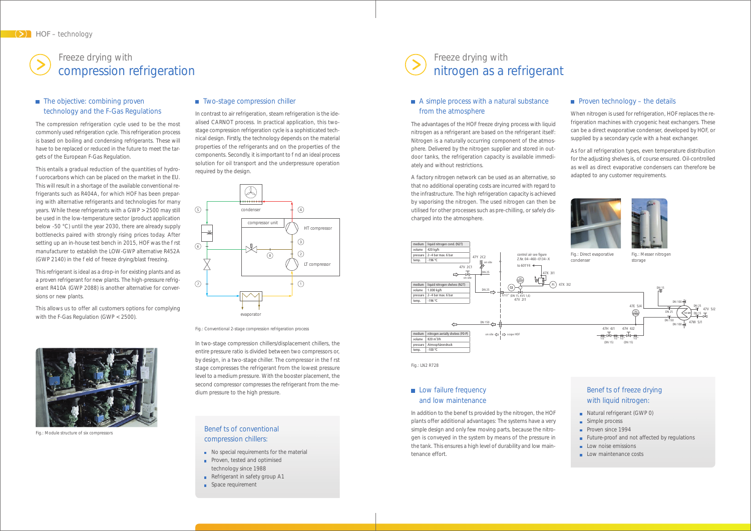In contrast to air refrigeration, steam refrigeration is the idealised CARNOT process. In practical application, this twostage compression refrigeration cycle is a sophisticated technical design. Firstly, the technology depends on the material properties of the refrigerants and on the properties of the components. Secondly, it is important to nd an ideal process solution for oil transport and the underpressure operation required by the design.

### A simple process with a natural substance from the atmosphere

In two-stage compression chillers/displacement chillers, the entire pressure ratio is divided between two compressors or, by design, in a two-stage chiller. The compressor in the rst stage compresses the refrigerant from the lowest pressure level to a medium pressure. With the booster placement, the second compressor compresses the refrigerant from the medium pressure to the high pressure.

### **Low failure frequency** and low maintenance

In addition to the bene ts provided by the nitrogen, the HOF plants offer additional advantages: The systems have a very simple design and only few moving parts, because the nitrogen is conveyed in the system by means of the pressure in the tank. This ensures a high level of durability and low maintenance effort.

### **Proven technology – the details**

The advantages of the HOF freeze drying process with liquid nitrogen as a refrigerant are based on the refrigerant itself: Nitrogen is a naturally occurring component of the atmosphere. Delivered by the nitrogen supplier and stored in outdoor tanks, the refrigeration capacity is available immediately and without restrictions.

### ■ The objective: combining proven technology and the F-Gas Regulations

This entails a gradual reduction of the quantities of hydrouorocarbons which can be placed on the market in the EU. This will result in a shortage of the available conventional refrigerants such as R404A, for which HOF has been preparing with alternative refrigerants and technologies for many years. While these refrigerants with a GWP > 2500 may still be used in the low-temperature sector (product application below -50 °C) until the year 2030, there are already supply bottlenecks paired with strongly rising prices today. After setting up an in-house test bench in 2015, HOF was the rst manufacturer to establish the LOW-GWP alternative R452A (GWP 2140) in the eld of freeze drying/blast freezing.

A factory nitrogen network can be used as an alternative, so that no additional operating costs are incurred with regard to the infrastructure. The high refrigeration capacity is achieved by vaporising the nitrogen. The used nitrogen can then be utilised for other processes such as pre-chilling, or safely discharged into the atmosphere.

### Bene ts of conventional compression chillers:

- $\blacksquare$  No special requirements for the material
- **Proven, tested and optimised** technology since 1988
- Refrigerant in safety group A1
- Space requirement

When nitrogen is used for refrigeration, HOF replaces the refrigeration machines with cryogenic heat exchangers. These can be a direct evaporative condenser, developed by HOF, or supplied by a secondary cycle with a heat exchanger.

### Bene ts of freeze drying with liquid nitrogen:

- Natural refrigerant (GWP 0)
- Simple process
- Proven since 1994
- Future-proof and not affected by regulations
- $\blacksquare$  Low noise emissions
- **Low maintenance costs**

As for all refrigeration types, even temperature distribution for the adjusting shelves is, of course ensured. Oil-controlled as well as direct evaporative condensers can therefore be adapted to any customer requirements.





The compression refrigeration cycle used to be the most commonly used refrigeration cycle. This refrigeration process is based on boiling and condensing refrigerants. These will have to be replaced or reduced in the future to meet the targets of the European F-Gas Regulation.

This refrigerant is ideal as a drop-in for existing plants and as a proven refrigerant for new plants. The high-pressure refrigerant R410A (GWP 2088) is another alternative for conversions or new plants.

This allows us to offer all customers options for complying with the F-Gas Regulation (GWP < 2500).

# Freeze drying with nitrogen as a refrigerant

# Freeze drying with compression refrigeration



Fig.: Module structure of six compressors

### ■ Two-stage compression chiller

Fig.: Conventional 2-stage compression refrigeration process





Fig.: LN2 R728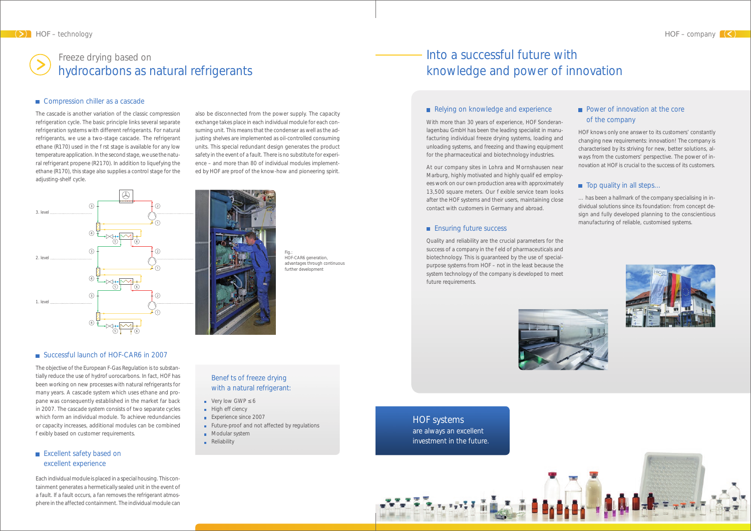The objective of the European F-Gas Regulation is to substantially reduce the use of hydro uorocarbons. In fact, HOF has been working on new processes with natural refrigerants for many years. A cascade system which uses ethane and propane was consequently established in the market far back in 2007. The cascade system consists of two separate cycles which form an individual module. To achieve redundancies or capacity increases, additional modules can be combined exibly based on customer requirements.

The cascade is another variation of the classic compression refrigeration cycle. The basic principle links several separate refrigeration systems with different refrigerants. For natural refrigerants, we use a two-stage cascade. The refrigerant ethane (R170) used in the rst stage is available for any low temperature application. In the second stage, we use the natural refrigerant propene (R2170). In addition to liquefying the ethane (R170), this stage also supplies a control stage for the adjusting-shelf cycle.

### Excellent safety based on excellent experience

Each individual module is placed in a special housing. This containment generates a hermetically sealed unit in the event of a fault. If a fault occurs, a fan removes the refrigerant atmosphere in the affected containment. The individual module can

### Bene ts of freeze drying with a natural refrigerant:

- Very low GWP 6
- $\blacksquare$  High ef ciency
- **Experience since 2007**
- **Future-proof and not affected by regulations**
- **Modular system**
- **Reliability**

### Power of innovation at the core of the company

also be disconnected from the power supply. The capacity exchange takes place in each individual module for each consuming unit. This means that the condenser as well as the adjusting shelves are implemented as oil-controlled consuming units. This special redundant design generates the product safety in the event of a fault. There is no substitute for experience – and more than 80 of individual modules implemented by HOF are proof of the know-how and pioneering spirit.



Fig.: HOF-CAR6 generation, advantages through continuous further development

With more than 30 years of experience, HOF Sonderanlagenbau GmbH has been the leading specialist in manufacturing individual freeze drying systems, loading and unloading systems, and freezing and thawing equipment for the pharmaceutical and biotechnology industries.

At our company sites in Lohra and Mornshausen near Marburg, highly motivated and highly quali ed employees work on our own production area with approximately 13,500 square meters. Our exible service team looks after the HOF systems and their users, maintaining close contact with customers in Germany and abroad.

### **Ensuring future success**

Quality and reliability are the crucial parameters for the success of a company in the eld of pharmaceuticals and biotechnology. This is guaranteed by the use of specialpurpose systems from HOF – not in the least because the system technology of the company is developed to meet future requirements.



#### ■ Successful launch of HOF-CAR6 in 2007

HOF knows only one answer to its customers' constantly changing new requirements: innovation! The company is characterised by its striving for new, better solutions, always from the customers' perspective. The power of innovation at HOF is crucial to the success of its customers.

### $\blacksquare$  Top quality in all steps...

… has been a hallmark of the company specialising in individual solutions since its foundation: from concept design and fully developed planning to the conscientious manufacturing of reliable, customised systems.







# Into a successful future with knowledge and power of innovation

### Relying on knowledge and experience

# Freeze drying based on hydrocarbons as natural refrigerants

### ■ Compression chiller as a cascade

### HOF systems are always an excellent

investment in the future.